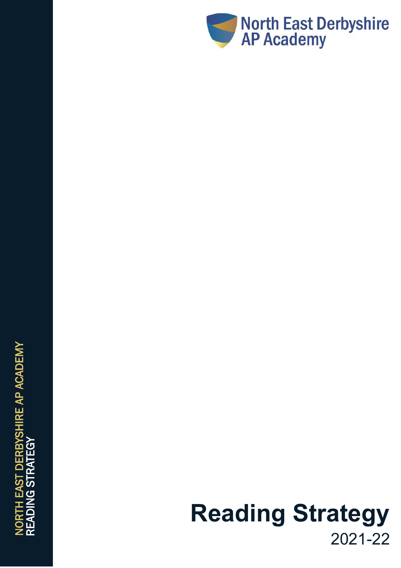

# **Reading Strategy** 202 1 - 2 2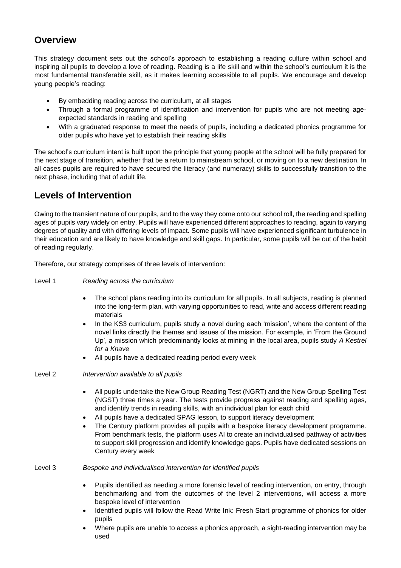#### **Overview**

This strategy document sets out the school's approach to establishing a reading culture within school and inspiring all pupils to develop a love of reading. Reading is a life skill and within the school's curriculum it is the most fundamental transferable skill, as it makes learning accessible to all pupils. We encourage and develop young people's reading:

- By embedding reading across the curriculum, at all stages
- Through a formal programme of identification and intervention for pupils who are not meeting ageexpected standards in reading and spelling
- With a graduated response to meet the needs of pupils, including a dedicated phonics programme for older pupils who have yet to establish their reading skills

The school's curriculum intent is built upon the principle that young people at the school will be fully prepared for the next stage of transition, whether that be a return to mainstream school, or moving on to a new destination. In all cases pupils are required to have secured the literacy (and numeracy) skills to successfully transition to the next phase, including that of adult life.

### **Levels of Intervention**

Owing to the transient nature of our pupils, and to the way they come onto our school roll, the reading and spelling ages of pupils vary widely on entry. Pupils will have experienced different approaches to reading, again to varying degrees of quality and with differing levels of impact. Some pupils will have experienced significant turbulence in their education and are likely to have knowledge and skill gaps. In particular, some pupils will be out of the habit of reading regularly.

Therefore, our strategy comprises of three levels of intervention:

#### Level 1 *Reading across the curriculum*

- The school plans reading into its curriculum for all pupils. In all subjects, reading is planned into the long-term plan, with varying opportunities to read, write and access different reading materials
- In the KS3 curriculum, pupils study a novel during each 'mission', where the content of the novel links directly the themes and issues of the mission. For example, in 'From the Ground Up', a mission which predominantly looks at mining in the local area, pupils study *A Kestrel for a Knave*
- All pupils have a dedicated reading period every week

Level 2 *Intervention available to all pupils*

- All pupils undertake the New Group Reading Test (NGRT) and the New Group Spelling Test (NGST) three times a year. The tests provide progress against reading and spelling ages, and identify trends in reading skills, with an individual plan for each child
- All pupils have a dedicated SPAG lesson, to support literacy development
- The Century platform provides all pupils with a bespoke literacy development programme. From benchmark tests, the platform uses AI to create an individualised pathway of activities to support skill progression and identify knowledge gaps. Pupils have dedicated sessions on Century every week

Level 3 *Bespoke and individualised intervention for identified pupils*

- Pupils identified as needing a more forensic level of reading intervention, on entry, through benchmarking and from the outcomes of the level 2 interventions, will access a more bespoke level of intervention
- Identified pupils will follow the Read Write Ink: Fresh Start programme of phonics for older pupils
- Where pupils are unable to access a phonics approach, a sight-reading intervention may be used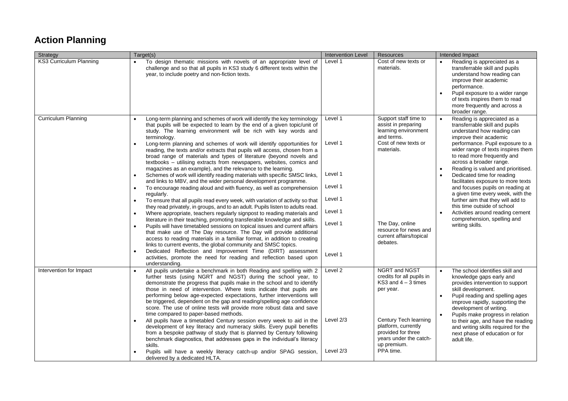## **Action Planning**

| Strategy                       | Target(s)                                                                                                                                                                                                                                                                                                                                                                                                                                                                                                                                                                                                                                                                                                                                                                                                                                                                                                                                                                                                                                                                                                                                                                                                                                                                                                                                                                                                                                                                                                                                                                                                                                                | <b>Intervention Level</b>                                                            | <b>Resources</b>                                                                                                                                                                                            | Intended Impact                                                                                                                                                                                                                                                                                                                                                                                                                                                                                                                                                                                                                               |
|--------------------------------|----------------------------------------------------------------------------------------------------------------------------------------------------------------------------------------------------------------------------------------------------------------------------------------------------------------------------------------------------------------------------------------------------------------------------------------------------------------------------------------------------------------------------------------------------------------------------------------------------------------------------------------------------------------------------------------------------------------------------------------------------------------------------------------------------------------------------------------------------------------------------------------------------------------------------------------------------------------------------------------------------------------------------------------------------------------------------------------------------------------------------------------------------------------------------------------------------------------------------------------------------------------------------------------------------------------------------------------------------------------------------------------------------------------------------------------------------------------------------------------------------------------------------------------------------------------------------------------------------------------------------------------------------------|--------------------------------------------------------------------------------------|-------------------------------------------------------------------------------------------------------------------------------------------------------------------------------------------------------------|-----------------------------------------------------------------------------------------------------------------------------------------------------------------------------------------------------------------------------------------------------------------------------------------------------------------------------------------------------------------------------------------------------------------------------------------------------------------------------------------------------------------------------------------------------------------------------------------------------------------------------------------------|
| <b>KS3 Curriculum Planning</b> | To design thematic missions with novels of an appropriate level of<br>challenge and so that all pupils in KS3 study 6 different texts within the<br>year, to include poetry and non-fiction texts.                                                                                                                                                                                                                                                                                                                                                                                                                                                                                                                                                                                                                                                                                                                                                                                                                                                                                                                                                                                                                                                                                                                                                                                                                                                                                                                                                                                                                                                       | Level 1                                                                              | Cost of new texts or<br>materials.                                                                                                                                                                          | Reading is appreciated as a<br>$\bullet$<br>transferrable skill and pupils<br>understand how reading can<br>improve their academic<br>performance.<br>Pupil exposure to a wider range<br>$\bullet$<br>of texts inspires them to read<br>more frequently and across a<br>broader range.                                                                                                                                                                                                                                                                                                                                                        |
| <b>Curriculum Planning</b>     | Long-term planning and schemes of work will identify the key terminology<br>that pupils will be expected to learn by the end of a given topic/unit of<br>study. The learning environment will be rich with key words and<br>terminology.<br>Long-term planning and schemes of work will identify opportunities for<br>reading, the texts and/or extracts that pupils will access, chosen from a<br>broad range of materials and types of literature (beyond novels and<br>textbooks - utilising extracts from newspapers, websites, comics and<br>magazines as an example), and the relevance to the learning.<br>Schemes of work will identify reading materials with specific SMSC links,<br>and links to MBV, and the wider personal development programme.<br>To encourage reading aloud and with fluency, as well as comprehension<br>regularly.<br>To ensure that all pupils read every week, with variation of activity so that<br>they read privately, in groups, and to an adult. Pupils listen to adults read.<br>Where appropriate, teachers regularly signpost to reading materials and<br>literature in their teaching, promoting transferable knowledge and skills.<br>Pupils will have timetabled sessions on topical issues and current affairs<br>that make use of The Day resource. The Day will provide additional<br>access to reading materials in a familiar format, in addition to creating<br>links to current events, the global community and SMSC topics.<br>Dedicated Reflection and Improvement Time (DIRT) assessment<br>$\bullet$<br>activities, promote the need for reading and reflection based upon<br>understanding. | Level 1<br>Level 1<br>Level 1<br>Level 1<br>Level 1<br>Level 1<br>Level 1<br>Level 1 | Support staff time to<br>assist in preparing<br>learning environment<br>and terms.<br>Cost of new texts or<br>materials.<br>The Day, online<br>resource for news and<br>current affairs/topical<br>debates. | Reading is appreciated as a<br>$\bullet$<br>transferrable skill and pupils<br>understand how reading can<br>improve their academic<br>performance. Pupil exposure to a<br>wider range of texts inspires them<br>to read more frequently and<br>across a broader range.<br>Reading is valued and prioritised.<br>$\bullet$<br>Dedicated time for reading<br>facilitates exposure to more texts<br>and focuses pupils on reading at<br>a given time every week, with the<br>further aim that they will add to<br>this time outside of school<br>Activities around reading cement<br>$\bullet$<br>comprehension, spelling and<br>writing skills. |
| Intervention for Impact        | All pupils undertake a benchmark in both Reading and spelling with 2<br>further tests (using NGRT and NGST) during the school year, to<br>demonstrate the progress that pupils make in the school and to identify<br>those in need of intervention. Where tests indicate that pupils are<br>performing below age-expected expectations, further interventions will<br>be triggered, dependent on the gap and reading/spelling age confidence<br>score. The use of online tests will provide more robust data and save<br>time compared to paper-based methods.<br>All pupils have a timetabled Century session every week to aid in the<br>development of key literacy and numeracy skills. Every pupil benefits<br>from a bespoke pathway of study that is planned by Century following<br>benchmark diagnostics, that addresses gaps in the individual's literacy<br>skills.<br>Pupils will have a weekly literacy catch-up and/or SPAG session,<br>delivered by a dedicated HLTA.                                                                                                                                                                                                                                                                                                                                                                                                                                                                                                                                                                                                                                                                     | Level 2<br>Level $2/3$<br>Level 2/3                                                  | NGRT and NGST<br>credits for all pupils in<br>KS3 and $4-3$ times<br>per year.<br>Century Tech learning<br>platform, currently<br>provided for three<br>years under the catch-<br>up premium.<br>PPA time.  | The school identifies skill and<br>knowledge gaps early and<br>provides intervention to support<br>skill development.<br>Pupil reading and spelling ages<br>$\bullet$<br>improve rapidly, supporting the<br>development of writing.<br>Pupils make progress in relation<br>to their age, and have the reading<br>and writing skills required for the<br>next phase of education or for<br>adult life.                                                                                                                                                                                                                                         |